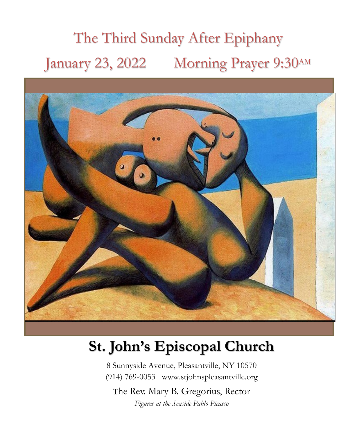# The Third Sunday After Epiphany January 23, 2022 Morning Prayer 9:30<sup>AM</sup>



# **St. John's Episcopal Church**

8 Sunnyside Avenue, Pleasantville, NY 10570 (914) 769-0053 www.stjohnspleasantville.org

The Rev. Mary B. Gregorius, Rector *Figures at the Seaside Pablo Picasso*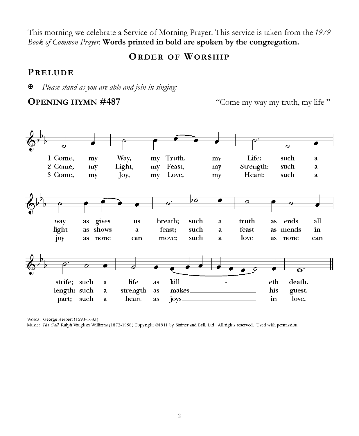This morning we celebrate a Service of Morning Prayer. This service is taken from the *1979 Book of Common Prayer*. **Words printed in bold are spoken by the congregation.**

#### **ORDER OF WORSHIP**

## **PRELUDE**

*Please stand as you are able and join in singing:*

**OPENING HYMN #487** "Come my way my truth, my life"



Words: George Herbert (1593-1633)

Music: The Call, Ralph Vaughan Williams (1872-1958) Copyright @1911 by Stainer and Bell, Ltd. All rights reserved. Used with permission.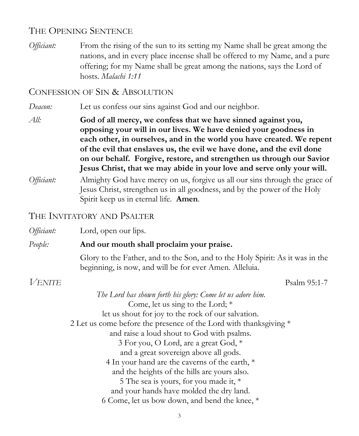### THE OPENING SENTENCE

*Officiant:* From the rising of the sun to its setting my Name shall be great among the nations, and in every place incense shall be offered to my Name, and a pure offering; for my Name shall be great among the nations, says the Lord of hosts. *Malachi 1:11*

#### CONFESSION OF SIN & ABSOLUTION

*Deacon:* Let us confess our sins against God and our neighbor.

*All:* **God of all mercy, we confess that we have sinned against you, opposing your will in our lives. We have denied your goodness in each other, in ourselves, and in the world you have created. We repent of the evil that enslaves us, the evil we have done, and the evil done on our behalf. Forgive, restore, and strengthen us through our Savior Jesus Christ, that we may abide in your love and serve only your will.** 

*Officiant:* Almighty God have mercy on us, forgive us all our sins through the grace of Jesus Christ, strengthen us in all goodness, and by the power of the Holy Spirit keep us in eternal life. **Amen**.

### THE INVITATORY AND PSALTER

| Officiant: | Lord, open our lips. |  |
|------------|----------------------|--|
|            |                      |  |

#### *People:* **And our mouth shall proclaim your praise.**

Glory to the Father, and to the Son, and to the Holy Spirit: As it was in the beginning, is now, and will be for ever Amen. Alleluia.

*VENITE* Psalm 95:1-7

*The Lord has shown forth his glory: Come let us adore him.* Come, let us sing to the Lord; \* let us shout for joy to the rock of our salvation. 2 Let us come before the presence of the Lord with thanksgiving \* and raise a loud shout to God with psalms. 3 For you, O Lord, are a great God, \* and a great sovereign above all gods. 4 In your hand are the caverns of the earth, \* and the heights of the hills are yours also. 5 The sea is yours, for you made it, \* and your hands have molded the dry land. 6 Come, let us bow down, and bend the knee, \*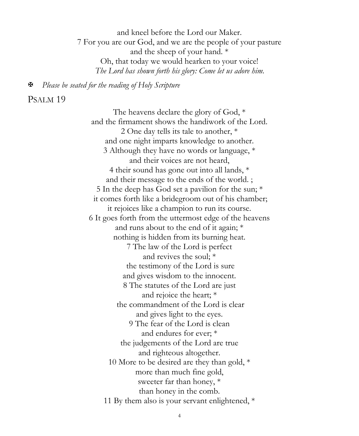and kneel before the Lord our Maker. 7 For you are our God, and we are the people of your pasture and the sheep of your hand. \* Oh, that today we would hearken to your voice! *The Lord has shown forth his glory: Come let us adore him.*

*Please be seated for the reading of Holy Scripture*

PSALM 19

The heavens declare the glory of God, \* and the firmament shows the handiwork of the Lord. 2 One day tells its tale to another, \* and one night imparts knowledge to another. 3 Although they have no words or language, \* and their voices are not heard, 4 their sound has gone out into all lands, \* and their message to the ends of the world. ; 5 In the deep has God set a pavilion for the sun; \* it comes forth like a bridegroom out of his chamber; it rejoices like a champion to run its course. 6 It goes forth from the uttermost edge of the heavens and runs about to the end of it again; \* nothing is hidden from its burning heat. 7 The law of the Lord is perfect and revives the soul; \* the testimony of the Lord is sure and gives wisdom to the innocent. 8 The statutes of the Lord are just and rejoice the heart; \* the commandment of the Lord is clear and gives light to the eyes. 9 The fear of the Lord is clean and endures for ever; \* the judgements of the Lord are true and righteous altogether. 10 More to be desired are they than gold, \* more than much fine gold, sweeter far than honey, \* than honey in the comb. 11 By them also is your servant enlightened, \*

4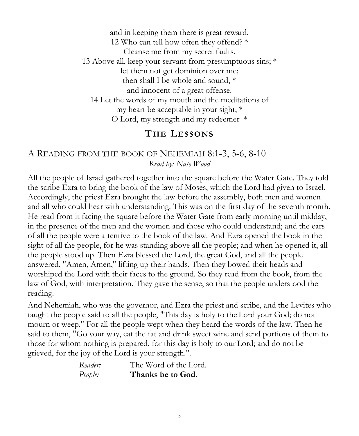and in keeping them there is great reward. 12 Who can tell how often they offend?  $*$ Cleanse me from my secret faults. 13 Above all, keep your servant from presumptuous sins; \* let them not get dominion over me; then shall I be whole and sound, \* and innocent of a great offense. 14 Let the words of my mouth and the meditations of my heart be acceptable in your sight; \* O Lord, my strength and my redeemer \*

# **THE LESSONS**

#### A READING FROM THE BOOK OF NEHEMIAH 8:1-3, 5-6, 8-10 *Read by: Nate Wood*

All the people of Israel gathered together into the square before the Water Gate. They told the scribe Ezra to bring the book of the law of Moses, which the Lord had given to Israel. Accordingly, the priest Ezra brought the law before the assembly, both men and women and all who could hear with understanding. This was on the first day of the seventh month. He read from it facing the square before the Water Gate from early morning until midday, in the presence of the men and the women and those who could understand; and the ears of all the people were attentive to the book of the law. And Ezra opened the book in the sight of all the people, for he was standing above all the people; and when he opened it, all the people stood up. Then Ezra blessed the Lord, the great God, and all the people answered, "Amen, Amen," lifting up their hands. Then they bowed their heads and worshiped the Lord with their faces to the ground. So they read from the book, from the law of God, with interpretation. They gave the sense, so that the people understood the reading.

And Nehemiah, who was the governor, and Ezra the priest and scribe, and the Levites who taught the people said to all the people, "This day is holy to the Lord your God; do not mourn or weep." For all the people wept when they heard the words of the law. Then he said to them, "Go your way, eat the fat and drink sweet wine and send portions of them to those for whom nothing is prepared, for this day is holy to our Lord; and do not be grieved, for the joy of the Lord is your strength.".

| Reader: | The Word of the Lord. |
|---------|-----------------------|
| People: | Thanks be to God.     |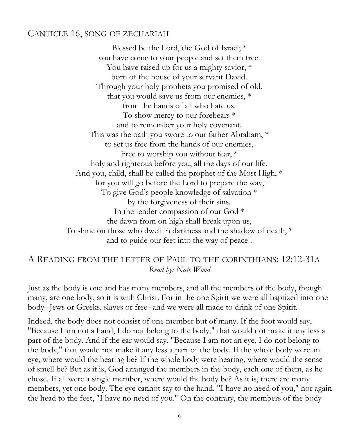#### CANTICLE 16, SONG OF ZECHARIAH

Blessed be the Lord, the God of Israel; \* you have come to your people and set them free. You have raised up for us a mighty savior, \* born of the house of your servant David. Through your holy prophets you promised of old, that you would save us from our enemies, \* from the hands of all who hate us. To show mercy to our forebears \* and to remember your holy covenant. This was the oath you swore to our father Abraham, \* to set us free from the hands of our enemies, Free to worship you without fear,  $*$ holy and righteous before you, all the days of our life. And you, child, shall be called the prophet of the Most High, \* for you will go before the Lord to prepare the way, To give God's people knowledge of salvation \* by the forgiveness of their sins. In the tender compassion of our God \* the dawn from on high shall break upon us, To shine on those who dwell in darkness and the shadow of death, \* and to guide our feet into the way of peace .

### A READING FROM THE LETTER OF PAUL TO THE CORINTHIANS: 12:12-31A *Read by: Nate Wood*

Just as the body is one and has many members, and all the members of the body, though many, are one body, so it is with Christ. For in the one Spirit we were all baptized into one body--Jews or Greeks, slaves or free--and we were all made to drink of one Spirit.

Indeed, the body does not consist of one member but of many. If the foot would say, "Because I am not a hand, I do not belong to the body," that would not make it any less a part of the body. And if the ear would say, "Because I am not an eye, I do not belong to the body," that would not make it any less a part of the body. If the whole body were an eye, where would the hearing be? If the whole body were hearing, where would the sense of smell be? But as it is, God arranged the members in the body, each one of them, as he chose. If all were a single member, where would the body be? As it is, there are many members, yet one body. The eye cannot say to the hand, "I have no need of you," nor again the head to the feet, "I have no need of you." On the contrary, the members of the body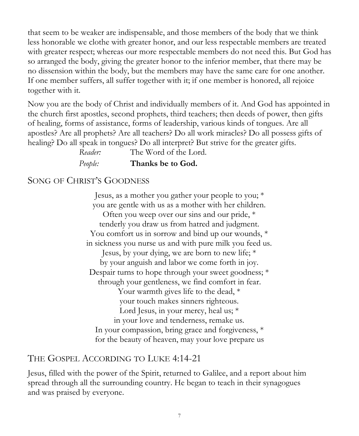that seem to be weaker are indispensable, and those members of the body that we think less honorable we clothe with greater honor, and our less respectable members are treated with greater respect; whereas our more respectable members do not need this. But God has so arranged the body, giving the greater honor to the inferior member, that there may be no dissension within the body, but the members may have the same care for one another. If one member suffers, all suffer together with it; if one member is honored, all rejoice together with it.

Now you are the body of Christ and individually members of it. And God has appointed in the church first apostles, second prophets, third teachers; then deeds of power, then gifts of healing, forms of assistance, forms of leadership, various kinds of tongues. Are all apostles? Are all prophets? Are all teachers? Do all work miracles? Do all possess gifts of healing? Do all speak in tongues? Do all interpret? But strive for the greater gifts.

*Reader:* The Word of the Lord. *People:* **Thanks be to God.**

# SONG OF CHRIST'S GOODNESS

Jesus, as a mother you gather your people to you; \* you are gentle with us as a mother with her children. Often you weep over our sins and our pride, \* tenderly you draw us from hatred and judgment. You comfort us in sorrow and bind up our wounds,  $*$ in sickness you nurse us and with pure milk you feed us. Jesus, by your dying, we are born to new life; \* by your anguish and labor we come forth in joy. Despair turns to hope through your sweet goodness; \* through your gentleness, we find comfort in fear. Your warmth gives life to the dead, \* your touch makes sinners righteous. Lord Jesus, in your mercy, heal us; \* in your love and tenderness, remake us. In your compassion, bring grace and forgiveness, \* for the beauty of heaven, may your love prepare us

# THE GOSPEL ACCORDING TO LUKE 4:14-21

Jesus, filled with the power of the Spirit, returned to Galilee, and a report about him spread through all the surrounding country. He began to teach in their synagogues and was praised by everyone.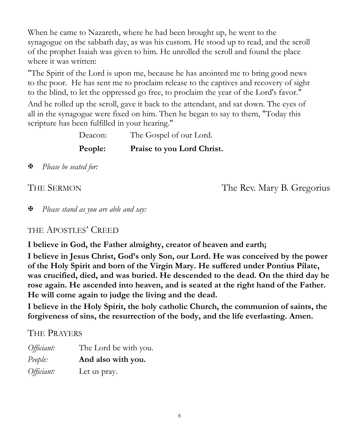When he came to Nazareth, where he had been brought up, he went to the synagogue on the sabbath day, as was his custom. He stood up to read, and the scroll of the prophet Isaiah was given to him. He unrolled the scroll and found the place where it was written:

"The Spirit of the Lord is upon me, because he has anointed me to bring good news to the poor. He has sent me to proclaim release to the captives and recovery of sight to the blind, to let the oppressed go free, to proclaim the year of the Lord's favor."

And he rolled up the scroll, gave it back to the attendant, and sat down. The eyes of all in the synagogue were fixed on him. Then he began to say to them, "Today this scripture has been fulfilled in your hearing."

| Deacon: | The Gospel of our Lord.    |
|---------|----------------------------|
| People: | Praise to you Lord Christ. |

*Please be seated for:*

THE SERMON The Rev. Mary B. Gregorius

*Please stand as you are able and say:*

### THE APOSTLES' CREED

**I believe in God, the Father almighty, creator of heaven and earth;**

**I believe in Jesus Christ, God's only Son, our Lord. He was conceived by the power of the Holy Spirit and born of the Virgin Mary. He suffered under Pontius Pilate, was crucified, died, and was buried. He descended to the dead. On the third day he rose again. He ascended into heaven, and is seated at the right hand of the Father. He will come again to judge the living and the dead.**

**I believe in the Holy Spirit, the holy catholic Church, the communion of saints, the forgiveness of sins, the resurrection of the body, and the life everlasting. Amen.**

### THE PRAYERS

| Officiant: | The Lord be with you. |
|------------|-----------------------|
| People:    | And also with you.    |
| Officiant: | Let us pray.          |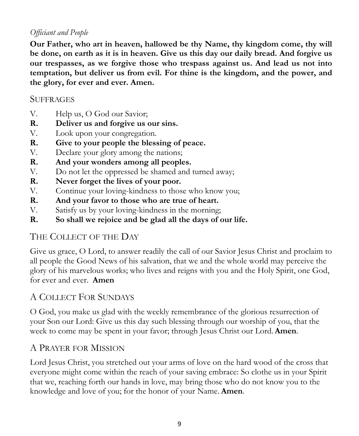# *Officiant and People*

**Our Father, who art in heaven, hallowed be thy Name, thy kingdom come, thy will be done, on earth as it is in heaven. Give us this day our daily bread. And forgive us our trespasses, as we forgive those who trespass against us. And lead us not into temptation, but deliver us from evil. For thine is the kingdom, and the power, and the glory, for ever and ever. Amen.**

## **SUFFRAGES**

- V. Help us, O God our Savior;
- **R. Deliver us and forgive us our sins.**
- V. Look upon your congregation.
- **R. Give to your people the blessing of peace.**
- V. Declare your glory among the nations;
- **R. And your wonders among all peoples.**
- V. Do not let the oppressed be shamed and turned away;
- **R. Never forget the lives of your poor.**
- V. Continue your loving-kindness to those who know you;
- **R. And your favor to those who are true of heart.**
- V. Satisfy us by your loving-kindness in the morning;
- **R. So shall we rejoice and be glad all the days of our life.**

# THE COLLECT OF THE DAY

Give us grace, O Lord, to answer readily the call of our Savior Jesus Christ and proclaim to all people the Good News of his salvation, that we and the whole world may perceive the glory of his marvelous works; who lives and reigns with you and the Holy Spirit, one God, for ever and ever. **Amen** 

# A COLLECT FOR SUNDAYS

O God, you make us glad with the weekly remembrance of the glorious resurrection of your Son our Lord: Give us this day such blessing through our worship of you, that the week to come may be spent in your favor; through Jesus Christ our Lord. **Amen**.

# A PRAYER FOR MISSION

Lord Jesus Christ, you stretched out your arms of love on the hard wood of the cross that everyone might come within the reach of your saving embrace: So clothe us in your Spirit that we, reaching forth our hands in love, may bring those who do not know you to the knowledge and love of you; for the honor of your Name. **Amen**.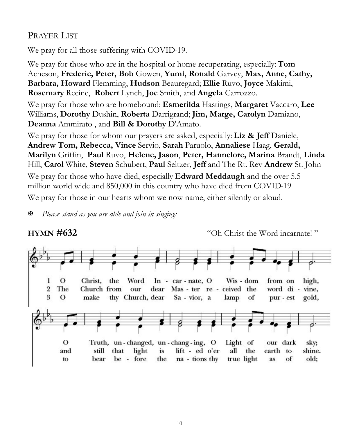# PRAYER LIST

We pray for all those suffering with COVID-19.

We pray for those who are in the hospital or home recuperating, especially: **Tom** Acheson, **Frederic, Peter, Bob** Gowen, **Yumi, Ronald** Garvey, **Max, Anne, Cathy, Barbara, Howard** Flemming, **Hudson** Beauregard; **Ellie** Ruvo, **Joyce** Makimi, **Rosemary** Recine, **Robert** Lynch, **Joe** Smith, and **Angela** Carrozzo.

We pray for those who are homebound: **Esmerilda** Hastings, **Margaret** Vaccaro, **Lee** Williams, **Dorothy** Dushin, **Roberta** Darrigrand; **Jim, Marge, Carolyn** Damiano, **Deanna** Ammirato , and **Bill & Dorothy** D'Amato.

We pray for those for whom our prayers are asked, especially: **Liz & Jeff** Daniele, **Andrew Tom, Rebecca, Vince** Servio, **Sarah** Paruolo, **Annaliese** Haag, **Gerald, Marilyn** Griffin, **Paul** Ruvo, **Helene, Jason**, **Peter, Hannelore, Marina** Brandt, **Linda** Hill, **Carol** White, **Steven** Schubert, **Paul** Seltzer, **Jeff** and The Rt. Rev **Andrew** St. John

We pray for those who have died, especially **Edward Meddaugh** and the over 5.5 million world wide and 850,000 in this country who have died from COVID-19

We pray for those in our hearts whom we now name, either silently or aloud.

*Please stand as you are able and join in singing:*



**HYMN** #632 "Oh Christ the Word incarnate!"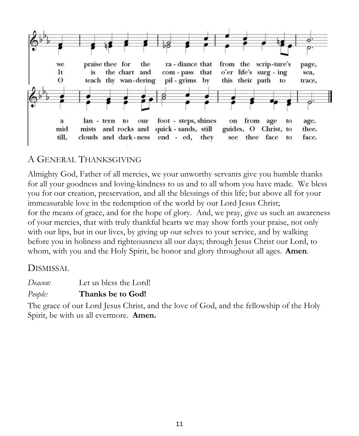

# A GENERAL THANKSGIVING

Almighty God, Father of all mercies, we your unworthy servants give you humble thanks for all your goodness and loving-kindness to us and to all whom you have made. We bless you for our creation, preservation, and all the blessings of this life; but above all for your immeasurable love in the redemption of the world by our Lord Jesus Christ; for the means of grace, and for the hope of glory. And, we pray, give us such an awareness of your mercies, that with truly thankful hearts we may show forth your praise, not only with our lips, but in our lives, by giving up our selves to your service, and by walking before you in holiness and righteousness all our days; through Jesus Christ our Lord, to whom, with you and the Holy Spirit, be honor and glory throughout all ages. **Amen**.

DISMISSAL

*Deacon:* Let us bless the Lord!

*People:* **Thanks be to God!**

The grace of our Lord Jesus Christ, and the love of God, and the fellowship of the Holy Spirit, be with us all evermore. **Amen.**